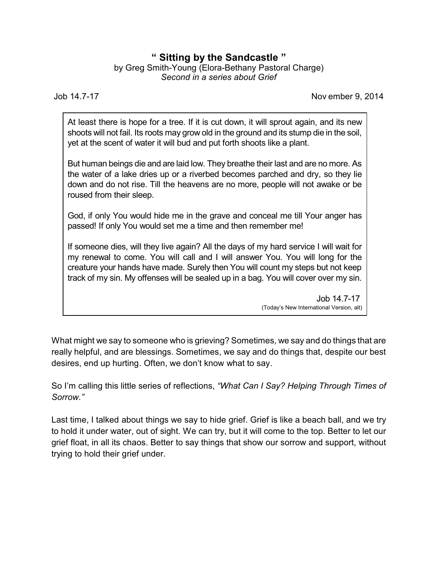# **" Sitting by the Sandcastle "**

by Greg Smith-Young (Elora-Bethany Pastoral Charge) *Second in a series about Grief*

Job 14.7-17 Nov ember 9, 2014

At least there is hope for a tree. If it is cut down, it will sprout again, and its new shoots will not fail. Its roots may grow old in the ground and its stump die in the soil, yet at the scent of water it will bud and put forth shoots like a plant.

But human beings die and are laid low. They breathe their last and are no more. As the water of a lake dries up or a riverbed becomes parched and dry, so they lie down and do not rise. Till the heavens are no more, people will not awake or be roused from their sleep.

God, if only You would hide me in the grave and conceal me till Your anger has passed! If only You would set me a time and then remember me!

If someone dies, will they live again? All the days of my hard service I will wait for my renewal to come. You will call and I will answer You. You will long for the creature your hands have made. Surely then You will count my steps but not keep track of my sin. My offenses will be sealed up in a bag. You will cover over my sin.

> Job 14.7-17 (Today's New International Version, alt)

What might we say to someone who is grieving? Sometimes, we say and do things that are really helpful, and are blessings. Sometimes, we say and do things that, despite our best desires, end up hurting. Often, we don't know what to say.

So I'm calling this little series of reflections, *"What Can I Say? Helping Through Times of Sorrow."*

Last time, I talked about things we say to hide grief. Grief is like a beach ball, and we try to hold it under water, out of sight. We can try, but it will come to the top. Better to let our grief float, in all its chaos. Better to say things that show our sorrow and support, without trying to hold their grief under.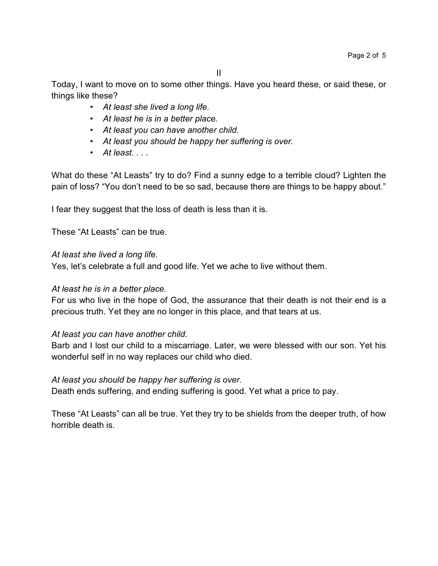Today, I want to move on to some other things. Have you heard these, or said these, or things like these?

- *• At least she lived a long life.*
- *• At least he is in a better place.*
- *• At least you can have another child.*
- *• At least you should be happy her suffering is over.*
- *• At least. . . .*

What do these "At Leasts" try to do? Find a sunny edge to a terrible cloud? Lighten the pain of loss? "You don't need to be so sad, because there are things to be happy about."

I fear they suggest that the loss of death is less than it is.

These "At Leasts" can be true.

## *At least she lived a long life.*

Yes, let's celebrate a full and good life. Yet we ache to live without them.

## *At least he is in a better place.*

For us who live in the hope of God, the assurance that their death is not their end is a precious truth. Yet they are no longer in this place, and that tears at us.

## *At least you can have another child.*

Barb and I lost our child to a miscarriage. Later, we were blessed with our son. Yet his wonderful self in no way replaces our child who died.

## *At least you should be happy her suffering is over.*

Death ends suffering, and ending suffering is good. Yet what a price to pay.

These "At Leasts" can all be true. Yet they try to be shields from the deeper truth, of how horrible death is.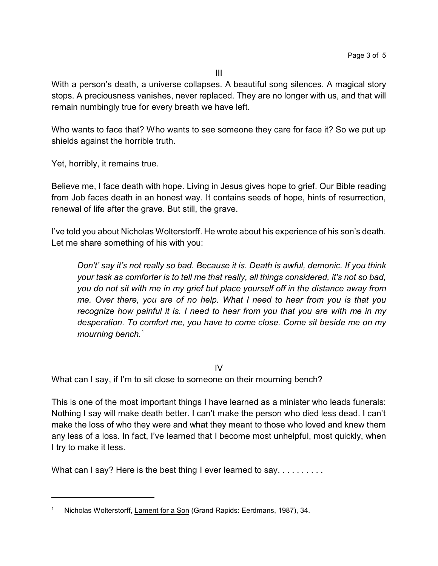With a person's death, a universe collapses. A beautiful song silences. A magical story stops. A preciousness vanishes, never replaced. They are no longer with us, and that will remain numbingly true for every breath we have left.

Who wants to face that? Who wants to see someone they care for face it? So we put up shields against the horrible truth.

Yet, horribly, it remains true.

Believe me, I face death with hope. Living in Jesus gives hope to grief. Our Bible reading from Job faces death in an honest way. It contains seeds of hope, hints of resurrection, renewal of life after the grave. But still, the grave.

I've told you about Nicholas Wolterstorff. He wrote about his experience of his son's death. Let me share something of his with you:

*Don't' say it's not really so bad. Because it is. Death is awful, demonic. If you think your task as comforter is to tell me that really, all things considered, it's not so bad, you do not sit with me in my grief but place yourself off in the distance away from me. Over there, you are of no help. What I need to hear from you is that you recognize how painful it is. I need to hear from you that you are with me in my desperation. To comfort me, you have to come close. Come sit beside me on my mourning bench.*<sup>1</sup>

IV

What can I say, if I'm to sit close to someone on their mourning bench?

This is one of the most important things I have learned as a minister who leads funerals: Nothing I say will make death better. I can't make the person who died less dead. I can't make the loss of who they were and what they meant to those who loved and knew them any less of a loss. In fact, I've learned that I become most unhelpful, most quickly, when I try to make it less.

What can I say? Here is the best thing I ever learned to say. . . . . . . . . .

<sup>1</sup> Nicholas Wolterstorff, Lament for a Son (Grand Rapids: Eerdmans, 1987), 34.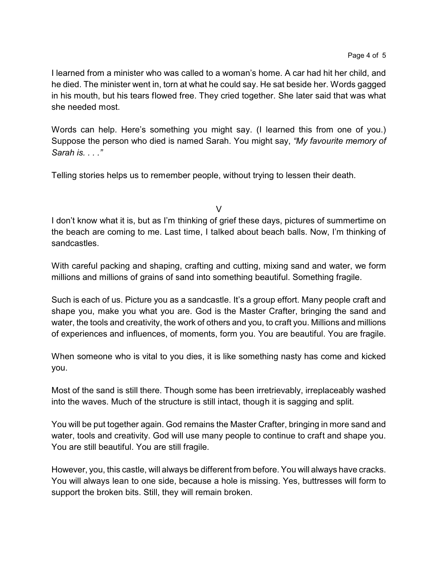I learned from a minister who was called to a woman's home. A car had hit her child, and he died. The minister went in, torn at what he could say. He sat beside her. Words gagged in his mouth, but his tears flowed free. They cried together. She later said that was what she needed most.

Words can help. Here's something you might say. (I learned this from one of you.) Suppose the person who died is named Sarah. You might say, *"My favourite memory of Sarah is. . . ."*

Telling stories helps us to remember people, without trying to lessen their death.

V

I don't know what it is, but as I'm thinking of grief these days, pictures of summertime on the beach are coming to me. Last time, I talked about beach balls. Now, I'm thinking of sandcastles.

With careful packing and shaping, crafting and cutting, mixing sand and water, we form millions and millions of grains of sand into something beautiful. Something fragile.

Such is each of us. Picture you as a sandcastle. It's a group effort. Many people craft and shape you, make you what you are. God is the Master Crafter, bringing the sand and water, the tools and creativity, the work of others and you, to craft you. Millions and millions of experiences and influences, of moments, form you. You are beautiful. You are fragile.

When someone who is vital to you dies, it is like something nasty has come and kicked you.

Most of the sand is still there. Though some has been irretrievably, irreplaceably washed into the waves. Much of the structure is still intact, though it is sagging and split.

You will be put together again. God remains the Master Crafter, bringing in more sand and water, tools and creativity. God will use many people to continue to craft and shape you. You are still beautiful. You are still fragile.

However, you, this castle, will always be different from before. You will always have cracks. You will always lean to one side, because a hole is missing. Yes, buttresses will form to support the broken bits. Still, they will remain broken.